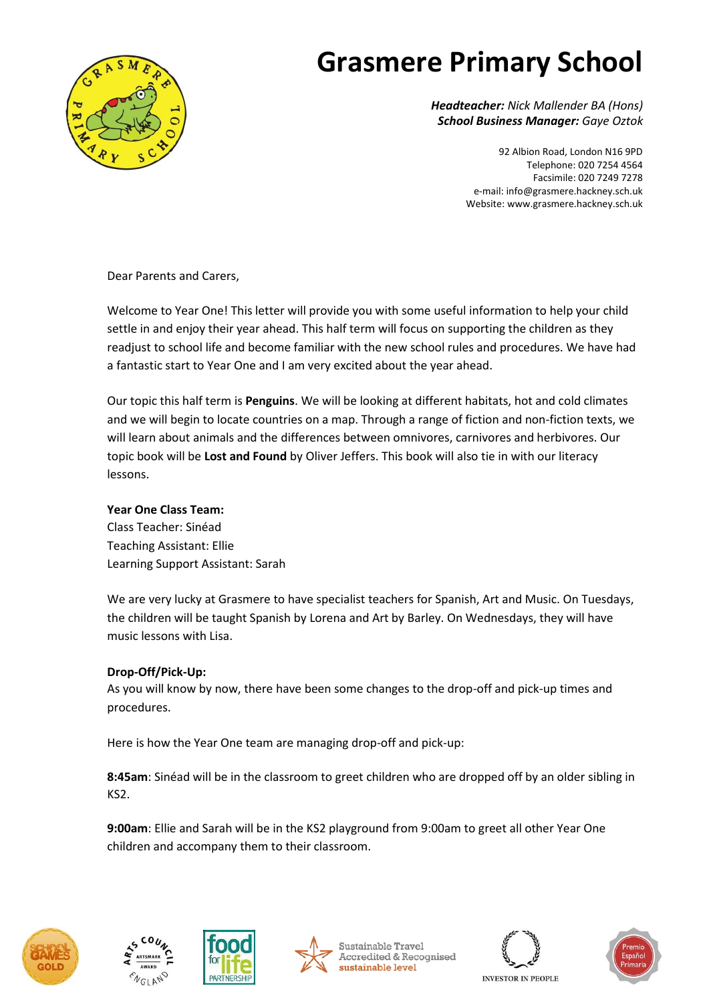

# **Grasmere Primary School**

*Headteacher: Nick Mallender BA (Hons) School Business Manager: Gaye Oztok*

> 92 Albion Road, London N16 9PD Telephone: 020 7254 4564 Facsimile: 020 7249 7278 e-mail[: info@grasmere.hackney.sch.uk](mailto:info@grasmere.hackney.sch.uk) Website[: www.grasmere.hackney.sch.uk](http://www.schoolswire.co.uk/public/grasmere008.html.nocache)

Dear Parents and Carers,

Welcome to Year One! This letter will provide you with some useful information to help your child settle in and enjoy their year ahead. This half term will focus on supporting the children as they readjust to school life and become familiar with the new school rules and procedures. We have had a fantastic start to Year One and I am very excited about the year ahead.

Our topic this half term is **Penguins**. We will be looking at different habitats, hot and cold climates and we will begin to locate countries on a map. Through a range of fiction and non-fiction texts, we will learn about animals and the differences between omnivores, carnivores and herbivores. Our topic book will be **Lost and Found** by Oliver Jeffers. This book will also tie in with our literacy lessons.

### **Year One Class Team:**

Class Teacher: Sinéad Teaching Assistant: Ellie Learning Support Assistant: Sarah

We are very lucky at Grasmere to have specialist teachers for Spanish, Art and Music. On Tuesdays, the children will be taught Spanish by Lorena and Art by Barley. On Wednesdays, they will have music lessons with Lisa.

### **Drop-Off/Pick-Up:**

As you will know by now, there have been some changes to the drop-off and pick-up times and procedures.

Here is how the Year One team are managing drop-off and pick-up:

**8:45am**: Sinéad will be in the classroom to greet children who are dropped off by an older sibling in KS2.

**9:00am**: Ellie and Sarah will be in the KS2 playground from 9:00am to greet all other Year One children and accompany them to their classroom.











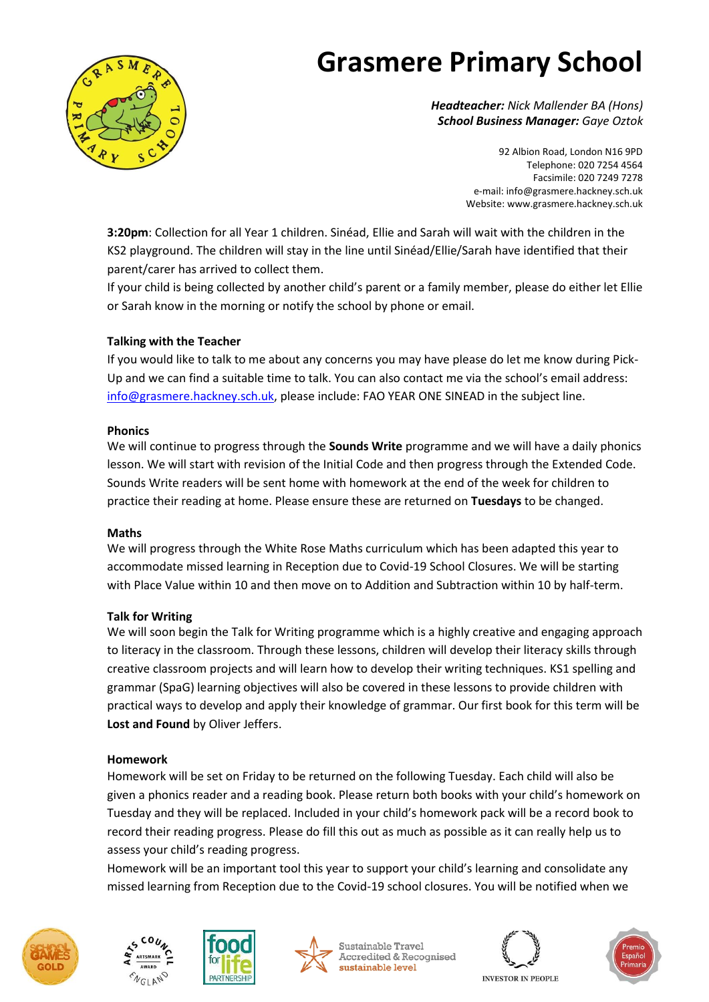

# **Grasmere Primary School**

*Headteacher: Nick Mallender BA (Hons) School Business Manager: Gaye Oztok*

> 92 Albion Road, London N16 9PD Telephone: 020 7254 4564 Facsimile: 020 7249 7278 e-mail[: info@grasmere.hackney.sch.uk](mailto:info@grasmere.hackney.sch.uk) Website[: www.grasmere.hackney.sch.uk](http://www.schoolswire.co.uk/public/grasmere008.html.nocache)

**3:20pm**: Collection for all Year 1 children. Sinéad, Ellie and Sarah will wait with the children in the KS2 playground. The children will stay in the line until Sinéad/Ellie/Sarah have identified that their parent/carer has arrived to collect them.

If your child is being collected by another child's parent or a family member, please do either let Ellie or Sarah know in the morning or notify the school by phone or email.

#### **Talking with the Teacher**

If you would like to talk to me about any concerns you may have please do let me know during Pick-Up and we can find a suitable time to talk. You can also contact me via the school's email address: [info@grasmere.hackney.sch.uk,](mailto:info@grasmere.hackney.sch.uk) please include: FAO YEAR ONE SINEAD in the subject line.

#### **Phonics**

We will continue to progress through the **Sounds Write** programme and we will have a daily phonics lesson. We will start with revision of the Initial Code and then progress through the Extended Code. Sounds Write readers will be sent home with homework at the end of the week for children to practice their reading at home. Please ensure these are returned on **Tuesdays** to be changed.

#### **Maths**

We will progress through the White Rose Maths curriculum which has been adapted this year to accommodate missed learning in Reception due to Covid-19 School Closures. We will be starting with Place Value within 10 and then move on to Addition and Subtraction within 10 by half-term.

#### **Talk for Writing**

We will soon begin the Talk for Writing programme which is a highly creative and engaging approach to literacy in the classroom. Through these lessons, children will develop their literacy skills through creative classroom projects and will learn how to develop their writing techniques. KS1 spelling and grammar (SpaG) learning objectives will also be covered in these lessons to provide children with practical ways to develop and apply their knowledge of grammar. Our first book for this term will be **Lost and Found** by Oliver Jeffers.

#### **Homework**

Homework will be set on Friday to be returned on the following Tuesday. Each child will also be given a phonics reader and a reading book. Please return both books with your child's homework on Tuesday and they will be replaced. Included in your child's homework pack will be a record book to record their reading progress. Please do fill this out as much as possible as it can really help us to assess your child's reading progress.

Homework will be an important tool this year to support your child's learning and consolidate any missed learning from Reception due to the Covid-19 school closures. You will be notified when we





**PARTNERSHI** 



Sustainable Travel **Accredited & Recognised** sustainable level